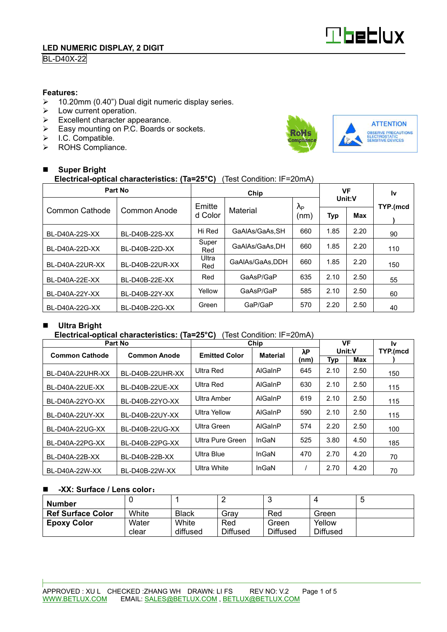

# BL-D40X-22

### **Features:**

- ▶ 10.20mm (0.40") Dual digit numeric display series. <math display="inline">\triangleright</math> Low current operation.
- Low current operation.
- $\triangleright$  Excellent character appearance.
- Easy mounting on P.C. Boards or sockets.
- $\triangleright$  I.C. Compatible.
- > ROHS Compliance.



#### - **Super Bright Electrical-optical characteristics: (Ta=25°C)** (Test Condition: IF=20mA)

| Part No         |                 |              | VF              |                        | l٧     |      |          |  |
|-----------------|-----------------|--------------|-----------------|------------------------|--------|------|----------|--|
| Common Cathode  | Common Anode    | Emitte       | Material        | $\lambda_{\mathsf{P}}$ | Unit:V |      | TYP.(mcd |  |
|                 |                 | d Color      |                 | (nm)                   | Typ    | Max  |          |  |
| BL-D40A-22S-XX  | BL-D40B-22S-XX  | Hi Red       | GaAlAs/GaAs.SH  | 660                    | 1.85   | 2.20 | 90       |  |
| BL-D40A-22D-XX  | BL-D40B-22D-XX  | Super<br>Red | GaAIAs/GaAs.DH  |                        | 1.85   | 2.20 | 110      |  |
| BL-D40A-22UR-XX | BL-D40B-22UR-XX | Ultra<br>Red | GaAIAs/GaAs.DDH | 660                    | 1.85   | 2.20 | 150      |  |
| BL-D40A-22E-XX  | BL-D40B-22E-XX  | Red          | GaAsP/GaP       | 635                    | 2.10   | 2.50 | 55       |  |
| BL-D40A-22Y-XX  | BL-D40B-22Y-XX  | Yellow       | GaAsP/GaP       | 585                    | 2.10   | 2.50 | 60       |  |
| BL-D40A-22G-XX  | BL-D40B-22G-XX  | Green        | GaP/GaP         | 570                    | 2.20   | 2.50 | 40       |  |

#### -**Ultra Bright**

### **Electrical-optical characteristics: (Ta=25°C)** (Test Condition: IF=20mA)

| Part No               |                     |                      | Chip            | VF          |        | 1v   |          |
|-----------------------|---------------------|----------------------|-----------------|-------------|--------|------|----------|
| <b>Common Cathode</b> | <b>Common Anode</b> | <b>Emitted Color</b> | <b>Material</b> | $\lambda$ P | Unit:V |      | TYP.(mcd |
|                       |                     |                      |                 | (nm)        | Typ    | Max  |          |
| BL-D40A-22UHR-XX      | BL-D40B-22UHR-XX    | Ultra Red            | AlGaInP         | 645         | 2.10   | 2.50 | 150      |
| BL-D40A-22UE-XX       | BL-D40B-22UE-XX     | Ultra Red            | AlGaInP         | 630         | 2.10   | 2.50 | 115      |
| BL-D40A-22YO-XX       | BL-D40B-22YO-XX     | Ultra Amber          | AlGaInP         | 619         | 2.10   | 2.50 | 115      |
| BL-D40A-22UY-XX       | BL-D40B-22UY-XX     | Ultra Yellow         | AlGaInP         | 590         | 2.10   | 2.50 | 115      |
| BL-D40A-22UG-XX       | BL-D40B-22UG-XX     | Ultra Green          | AlGaInP         | 574         | 2.20   | 2.50 | 100      |
| BL-D40A-22PG-XX       | BL-D40B-22PG-XX     | Ultra Pure Green     | InGaN           | 525         | 3.80   | 4.50 | 185      |
| BL-D40A-22B-XX        | BL-D40B-22B-XX      | Ultra Blue           | InGaN           | 470         | 2.70   | 4.20 | 70       |
| BL-D40A-22W-XX        | BL-D40B-22W-XX      | Ultra White          | InGaN           |             | 2.70   | 4.20 | 70       |

#### -**-XX: Surface / Lens color**:

| Number                   |                |                   |                        |                          |                           | IJ |
|--------------------------|----------------|-------------------|------------------------|--------------------------|---------------------------|----|
| <b>Ref Surface Color</b> | White          | <b>Black</b>      | Grav                   | Red                      | Green                     |    |
| <b>Epoxy Color</b>       | Water<br>clear | White<br>diffused | Red<br><b>Diffused</b> | Green<br><b>Diffused</b> | Yellow<br><b>Diffused</b> |    |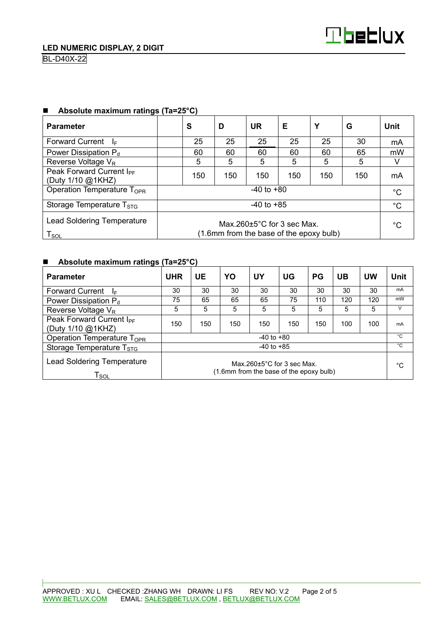| <b>Parameter</b>                                                                                                                                    | S              | D   | <b>UR</b> | Е   | Υ   | G   | Unit |  |
|-----------------------------------------------------------------------------------------------------------------------------------------------------|----------------|-----|-----------|-----|-----|-----|------|--|
| <b>Forward Current</b><br>-le                                                                                                                       | 25             | 25  | 25        | 25  | 25  | 30  | mA   |  |
| Power Dissipation $P_d$                                                                                                                             | 60             | 60  | 60        | 60  | 60  | 65  | mW   |  |
| Reverse Voltage V <sub>R</sub>                                                                                                                      | 5              | 5   | 5         | 5   | 5   | 5   |      |  |
| Peak Forward Current I <sub>PF</sub><br>(Duty 1/10 @1KHZ)                                                                                           | 150            | 150 | 150       | 150 | 150 | 150 | mA   |  |
| Operation Temperature T <sub>OPR</sub>                                                                                                              | $-40$ to $+80$ |     |           |     |     |     |      |  |
| Storage Temperature $T_{STG}$                                                                                                                       | $-40$ to $+85$ |     |           |     |     |     |      |  |
| <b>Lead Soldering Temperature</b><br>Max $260+5^{\circ}$ C for 3 sec Max.<br>(1.6mm from the base of the epoxy bulb)<br>$\mathsf{T}_{\mathsf{SOL}}$ |                |     |           |     |     | °C  |      |  |

## ■ Absolute maximum ratings (Ta=25°C)

## ■ Absolute maximum ratings (Ta=25°C)

| <b>Parameter</b>                                                                                                                                    | <b>UHR</b>     | UE  | YO  | UY  | UG  | <b>PG</b> | UB  | UW  | <b>Unit</b>  |
|-----------------------------------------------------------------------------------------------------------------------------------------------------|----------------|-----|-----|-----|-----|-----------|-----|-----|--------------|
| <b>Forward Current</b><br>₫E                                                                                                                        | 30             | 30  | 30  | 30  | 30  | 30        | 30  | 30  | mA           |
| Power Dissipation P <sub>d</sub>                                                                                                                    | 75             | 65  | 65  | 65  | 75  | 110       | 120 | 120 | mW           |
| Reverse Voltage V <sub>R</sub>                                                                                                                      | 5              | 5   | 5   | 5   | 5   | 5         | 5   | 5   | V            |
| Peak Forward Current I <sub>PF</sub><br>(Duty 1/10 @1KHZ)                                                                                           | 150            | 150 | 150 | 150 | 150 | 150       | 100 | 100 | mA           |
| Operation Temperature T <sub>OPR</sub>                                                                                                              | $-40$ to $+80$ |     |     |     |     |           |     |     | $^{\circ}$ C |
| Storage Temperature $T_{STG}$                                                                                                                       | $-40$ to $+85$ |     |     |     |     |           |     |     | °C           |
| <b>Lead Soldering Temperature</b><br>Max $260+5^{\circ}$ C for 3 sec Max.<br>(1.6mm from the base of the epoxy bulb)<br>$\mathsf{T}_{\mathsf{SOL}}$ |                |     |     |     |     |           | °C  |     |              |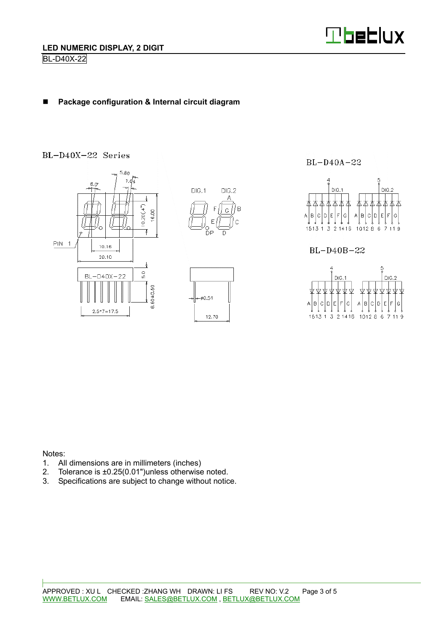

#### -**Package configuration & Internal circuit diagram**

# BL-D40X-22 Series



 $BL-D40A-22$ 



BL-D40B-22

 $\overline{B}$ 

 $\sqrt{2}$ 



Notes:

- 1. All dimensions are in millimeters (inches)
- 2. Tolerance is ±0.25(0.01")unless otherwise noted.
- 3. Specifications are subject to change without notice.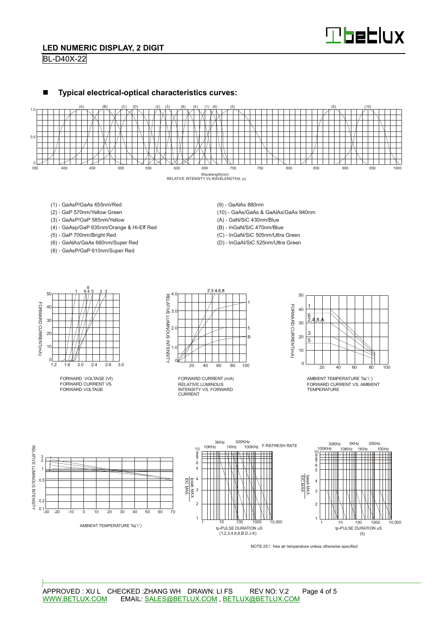

## **LED NUMERIC DISPLAY, 2 DIGIT**

BL-D40X-22





- (1) GaAsP/GaAs 655nm/Red
- (2) GaP 570nm/Yellow Green
- (3) GaAsP/GaP 585nm/Yellow
- (4) GaAsp/GaP 635nm/Orange & Hi-Eff Red
- (5) GaP 700nm/Bright Red
- (6) GaAlAs/GaAs 660nm/Super Red
- (8) GaAsP/GaP 610nm/Super Red

(9) - GaAlAs 880nm

- (10) GaAs/GaAs & GaAlAs/GaAs 940nm
- (A) GaN/SiC 430nm/Blue
- (B) InGaN/SiC 470nm/Blue
- (C) InGaN/SiC 505nm/Ultra Green
- (D) InGaAl/SiC 525nm/Ultra Green



FORWARD VOLTAGE (Vf) FORWARD CURRENT VS. FORWARD VOLTAGE



RELATIVE LUMINOUS INTENSITY VS. FORWARD CURRENT FORWARD CURRENT (mA)



AMBIENT TEMPERATURE Ta(℃) FORWARD CURRENT VS. AMBIENT TEMPERATURE



NOTE:25℃ free air temperature unless otherwise specified